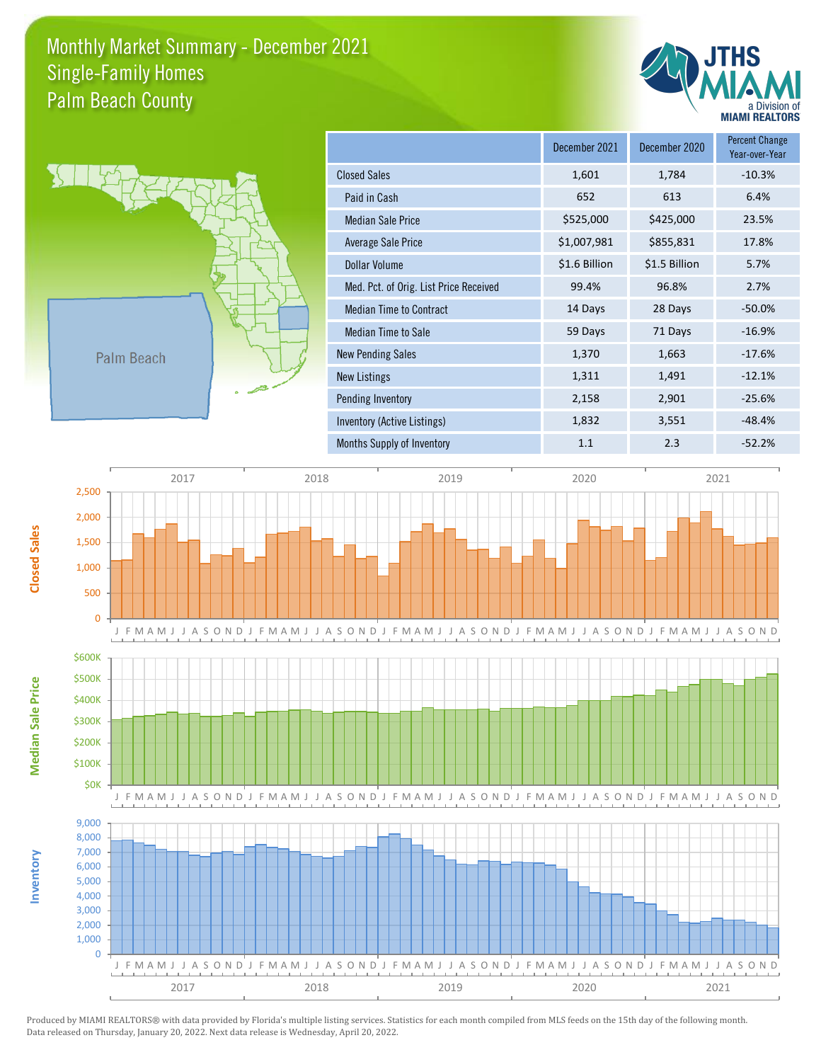## Monthly Market Summary - December 2021 Palm Beach County Single-Family Homes





|                                        | December 2021 | December 2020 | <b>Percent Change</b><br>Year-over-Year |
|----------------------------------------|---------------|---------------|-----------------------------------------|
| <b>Closed Sales</b>                    | 1,601         | 1,784         | $-10.3%$                                |
| Paid in Cash                           | 652           | 613           | 6.4%                                    |
| <b>Median Sale Price</b>               | \$525,000     | \$425,000     | 23.5%                                   |
| Average Sale Price                     | \$1,007,981   | \$855,831     | 17.8%                                   |
| Dollar Volume                          | \$1.6 Billion | \$1.5 Billion | 5.7%                                    |
| Med. Pct. of Orig. List Price Received | 99.4%         | 96.8%         | 2.7%                                    |
| <b>Median Time to Contract</b>         | 14 Days       | 28 Days       | $-50.0%$                                |
| Median Time to Sale                    | 59 Days       | 71 Days       | $-16.9%$                                |
| <b>New Pending Sales</b>               | 1,370         | 1,663         | $-17.6%$                                |
| New Listings                           | 1,311         | 1,491         | $-12.1%$                                |
| Pending Inventory                      | 2,158         | 2,901         | $-25.6%$                                |
| Inventory (Active Listings)            | 1,832         | 3,551         | $-48.4%$                                |
| Months Supply of Inventory             | 1.1           | 2.3           | $-52.2%$                                |



Produced by MIAMI REALTORS® with data provided by Florida's multiple listing services. Statistics for each month compiled from MLS feeds on the 15th day of the following month. Data released on Thursday, January 20, 2022. Next data release is Wednesday, April 20, 2022.